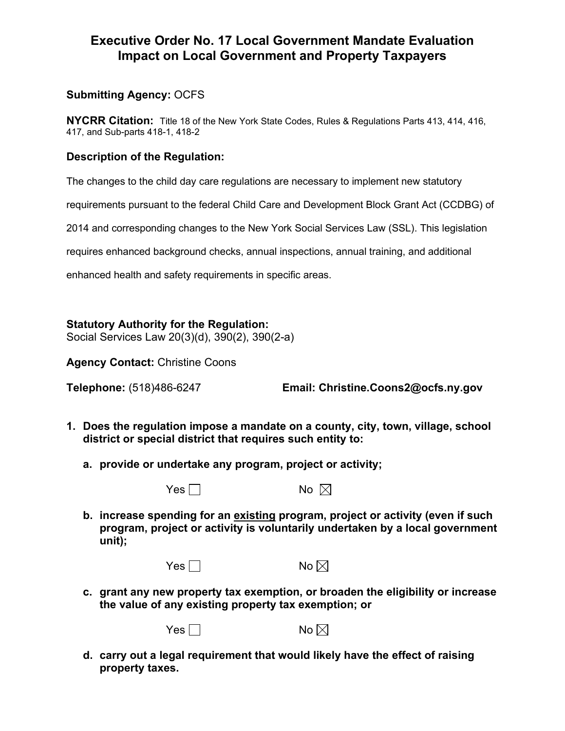# **Executive Order No. 17 Local Government Mandate Evaluation Impact on Local Government and Property Taxpayers**

### **Submitting Agency:** OCFS

**NYCRR Citation:** Title 18 of the New York State Codes, Rules & Regulations Parts 413, 414, 416, 417, and Sub-parts 418-1, 418-2

#### **Description of the Regulation:**

The changes to the child day care regulations are necessary to implement new statutory

requirements pursuant to the federal Child Care and Development Block Grant Act (CCDBG) of

2014 and corresponding changes to the New York Social Services Law (SSL). This legislation

requires enhanced background checks, annual inspections, annual training, and additional

enhanced health and safety requirements in specific areas.

#### **Statutory Authority for the Regulation:**

Social Services Law 20(3)(d), 390(2), 390(2-a)

**Agency Contact:** Christine Coons

**Telephone:** (518)486-6247 **Email: Christine.Coons2@ocfs.ny.gov**

- **1. Does the regulation impose a mandate on a county, city, town, village, school district or special district that requires such entity to:**
	- **a. provide or undertake any program, project or activity;**

|  | No |
|--|----|
|--|----|

**b. increase spending for an existing program, project or activity (even if such program, project or activity is voluntarily undertaken by a local government unit);**

| No $\boxtimes$ |
|----------------|
|                |

**c. grant any new property tax exemption, or broaden the eligibility or increase the value of any existing property tax exemption; or**

| Yes $\Box$ | No $\boxtimes$ |
|------------|----------------|
|------------|----------------|

**d. carry out a legal requirement that would likely have the effect of raising property taxes.**